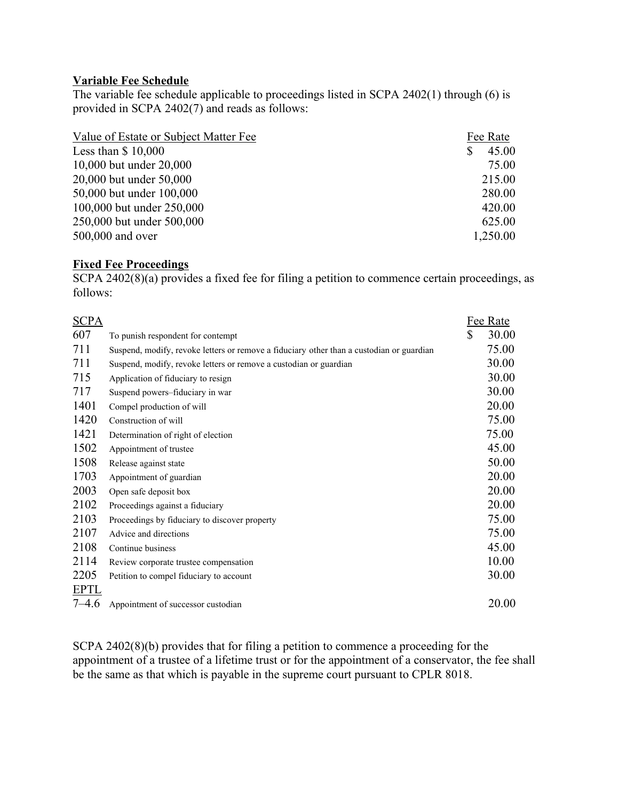### **Variable Fee Schedule**

The variable fee schedule applicable to proceedings listed in SCPA 2402(1) through (6) is provided in SCPA 2402(7) and reads as follows:

| Value of Estate or Subject Matter Fee | Fee Rate |
|---------------------------------------|----------|
| Less than $$10,000$                   | 45.00    |
| 10,000 but under 20,000               | 75.00    |
| 20,000 but under 50,000               | 215.00   |
| 50,000 but under 100,000              | 280.00   |
| 100,000 but under 250,000             | 420.00   |
| 250,000 but under 500,000             | 625.00   |
| 500,000 and over                      | 1,250.00 |

## **Fixed Fee Proceedings**

SCPA 2402(8)(a) provides a fixed fee for filing a petition to commence certain proceedings, as follows:

| <b>SCPA</b> |                                                                                          | Fee Rate    |
|-------------|------------------------------------------------------------------------------------------|-------------|
| 607         | To punish respondent for contempt                                                        | \$<br>30.00 |
| 711         | Suspend, modify, revoke letters or remove a fiduciary other than a custodian or guardian | 75.00       |
| 711         | Suspend, modify, revoke letters or remove a custodian or guardian                        | 30.00       |
| 715         | Application of fiduciary to resign                                                       | 30.00       |
| 717         | Suspend powers-fiduciary in war                                                          | 30.00       |
| 1401        | Compel production of will                                                                | 20.00       |
| 1420        | Construction of will                                                                     | 75.00       |
| 1421        | Determination of right of election                                                       | 75.00       |
| 1502        | Appointment of trustee                                                                   | 45.00       |
| 1508        | Release against state                                                                    | 50.00       |
| 1703        | Appointment of guardian                                                                  | 20.00       |
| 2003        | Open safe deposit box                                                                    | 20.00       |
| 2102        | Proceedings against a fiduciary                                                          | 20.00       |
| 2103        | Proceedings by fiduciary to discover property                                            | 75.00       |
| 2107        | Advice and directions                                                                    | 75.00       |
| 2108        | Continue business                                                                        | 45.00       |
| 2114        | Review corporate trustee compensation                                                    | 10.00       |
| 2205        | Petition to compel fiduciary to account                                                  | 30.00       |
| <b>EPTL</b> |                                                                                          |             |
| $7 - 4.6$   | Appointment of successor custodian                                                       | 20.00       |

SCPA 2402(8)(b) provides that for filing a petition to commence a proceeding for the appointment of a trustee of a lifetime trust or for the appointment of a conservator, the fee shall be the same as that which is payable in the supreme court pursuant to CPLR 8018.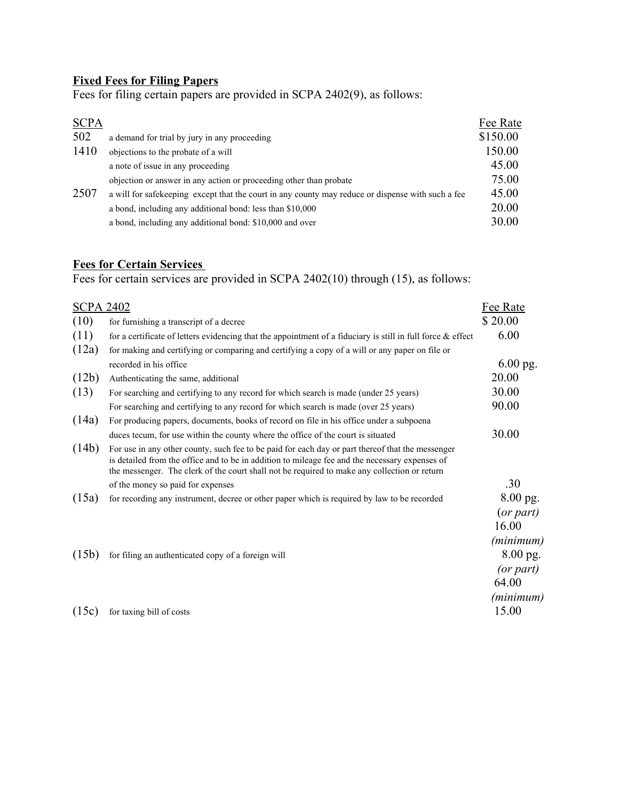# **Fixed Fees for Filing Papers**

Fees for filing certain papers are provided in SCPA 2402(9), as follows:

| <b>SCPA</b> |                                                                                                   | Fee Rate |
|-------------|---------------------------------------------------------------------------------------------------|----------|
| 502         | a demand for trial by jury in any proceeding                                                      | \$150.00 |
| 1410        | objections to the probate of a will                                                               | 150.00   |
| 2507        | a note of issue in any proceeding                                                                 | 45.00    |
|             | objection or answer in any action or proceeding other than probate                                | 75.00    |
|             | a will for safekeeping except that the court in any county may reduce or dispense with such a fee | 45.00    |
|             | a bond, including any additional bond: less than \$10,000                                         | 20.00    |
|             | a bond, including any additional bond: \$10,000 and over                                          | 30.00    |

# **Fees for Certain Services**

Fees for certain services are provided in SCPA 2402(10) through (15), as follows:

| <b>SCPA 2402</b> |                                                                                                                                                                                                                                                                                                    | Fee Rate                                    |
|------------------|----------------------------------------------------------------------------------------------------------------------------------------------------------------------------------------------------------------------------------------------------------------------------------------------------|---------------------------------------------|
| (10)             | for furnishing a transcript of a decree                                                                                                                                                                                                                                                            | \$20.00                                     |
| (11)             | for a certificate of letters evidencing that the appointment of a fiduciary is still in full force $\&$ effect                                                                                                                                                                                     | 6.00                                        |
| (12a)            | for making and certifying or comparing and certifying a copy of a will or any paper on file or                                                                                                                                                                                                     |                                             |
|                  | recorded in his office                                                                                                                                                                                                                                                                             | 6.00 pg.                                    |
| (12b)            | Authenticating the same, additional                                                                                                                                                                                                                                                                | 20.00                                       |
| (13)             | For searching and certifying to any record for which search is made (under 25 years)                                                                                                                                                                                                               | 30.00                                       |
|                  | For searching and certifying to any record for which search is made (over 25 years)                                                                                                                                                                                                                | 90.00                                       |
| (14a)            | For producing papers, documents, books of record on file in his office under a subpoena                                                                                                                                                                                                            |                                             |
|                  | duces tecum, for use within the county where the office of the court is situated                                                                                                                                                                                                                   | 30.00                                       |
| (14b)            | For use in any other county, such fee to be paid for each day or part thereof that the messenger<br>is detailed from the office and to be in addition to mileage fee and the necessary expenses of<br>the messenger. The clerk of the court shall not be required to make any collection or return |                                             |
|                  | of the money so paid for expenses                                                                                                                                                                                                                                                                  | .30                                         |
| (15a)            | for recording any instrument, decree or other paper which is required by law to be recorded                                                                                                                                                                                                        | 8.00 pg.<br>(or part)<br>16.00              |
| (15b)            | for filing an authenticated copy of a foreign will                                                                                                                                                                                                                                                 | (minimum)<br>8.00 pg.<br>(or part)<br>64.00 |
| (15c)            | for taxing bill of costs                                                                                                                                                                                                                                                                           | (minimum)<br>15.00                          |